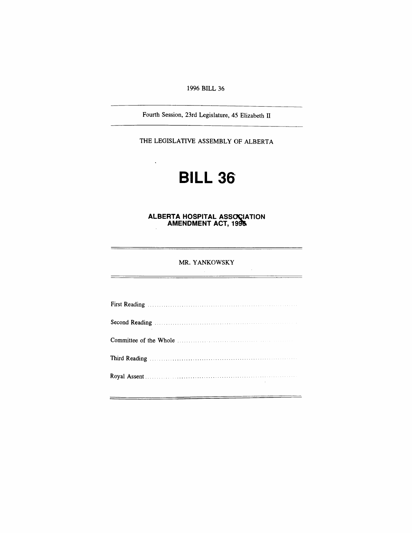*1996 BILL 36*

*Fourth Session, 23rd Legislature, 45 Elizabeth II*

*THE LEGISLATIVE ASSEMBLY OF ALBERTA*

 $\ddot{\phantom{a}}$ 

# *BILL 36*

## *ALBERTA HOSPITAL ASSOCIATION AMENDMENT ACT, 1996*

## *MR. YANKOWSKY*

 $\sim$ 

-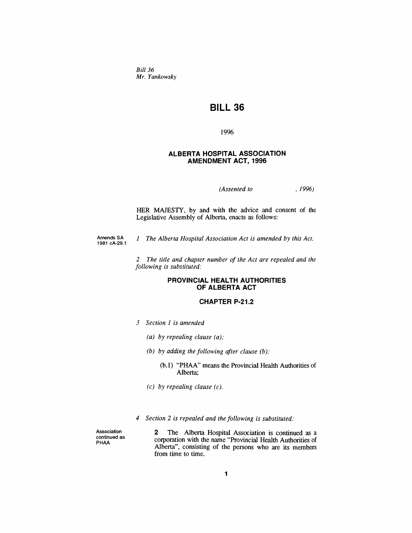*Bill 36 Mr. Yankowsky*

## *BILL 36*

*1996*

## *ALBERTA HOSPITAL ASSOCIATION AMENDMENT ACT, 1996*

*(Assented to , 1996)*

*HER MAJESTY, by and with the advice and consent of the Legislative Assembly of Alberta, enacts as follows:*

*Amends SA 1981 cA-29.1 1 The Alberta Hospital Association Act is amended by this Act.*

> *2 The title and chapter number of the Act are repealed and the following is substituted:*

## *PROVINCIAL HEALTH AUTHORITIES OF ALBERTA ACT*

## *CHAPTER P-21.2*

- *3 Section <sup>1</sup> is amended*
	- *(a) by repealing clause (a);*
	- *(b) by adding the following after clause (b):*
		- *(b.1) "PHAA" means the Provincial Health Authorities of Alberta;*
	- *(c) by repealing clause (c).*
- *4 Section 2 is repealed and the following is substituted:*

*Association continued as PHAA*

*2 The Alberta Hospital Association is continued as a corporation with the name "Provincial Health Authorities of Alberta", consisting of the persons who are its members from time to time.*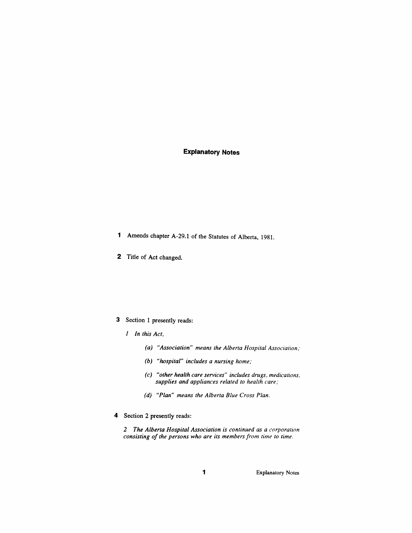## *Explanatory Notes*

- *<sup>1</sup> Amends chapter A-29.1 of the Statutes of Alberta, 1981.*
- *2 Title of Act changed.*

## *3 Section <sup>1</sup> presently reads:*

- *1 In this Act,*
	- *(a) "Association" means the Alberta Hospital Association;*
	- *(b) "hospital" includes a nursing home;*
	- *(c) "other health care services" includes drugs, medications, supplies and appliances related to health care;*
	- *(d) "Plan" means the Alberta Blue Cross Plan.*
- *4 Section 2 presently reads:*

*2 The Alberta Hospital Association is continued as a corporation consisting of the persons who are its members from time to time.*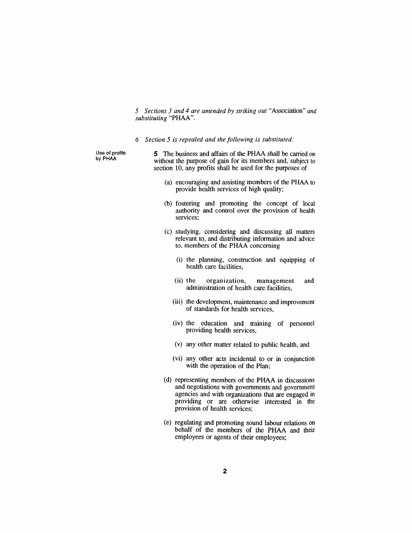*5 Sections 3 and 4 are amended by striking out "Association" and substituting "PHAA".*

*6 Section 5 is repealed and the following is substituted:*

*Use of profits by PHAA*

*5 The business and affairs of the PHAA shall be carried on without the purpose of gain for its members and, subject to section 10, any profits shall be used for the purposes of*

- *(a) encouraging and assisting members of the PHAA to provide health services of high quality;*
- *(b) fostering and promoting the concept of local authority and control over the provision of health services;*
- *(c) studying, considering and discussing all matters relevant to, and distributing information and advice to, members of the PHAA concerning*
	- *(i) the planning, construction and equipping of health care facilities,*
	- *(ii) the organization, management and administration of health care facilities,*
	- *(iii) the development, maintenance and improvement of standards for health services,*
	- *(iv) the education and training of personnel providing health services,*
	- *(v) any other matter related to public health, and*
	- *(vi) any other acts incidental to or in conjunction with the operation of the Plan;*
- *(d) representing members of the PHAA in discussions and negotiations with governments and government agencies and with organizations that are engaged in providing or are otherwise interested in the provision of health services;*
- *(e) regulating and promoting sound labour relations on behalf of the members of the PHAA and their employees or agents of their employees;*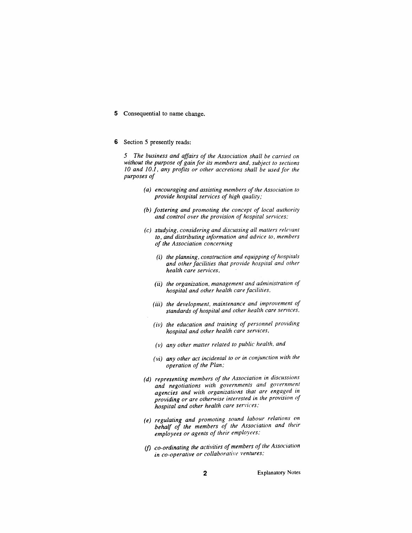*5 Consequential to name change.*

#### *6 Section 5 presently reads:*

*5 The business and affairs of the Association shall be carried on without the purpose of gain for its members and, subject to sections 10 and 10.1, any profits or other accretions shall be used for the purposes of*

- *(a) encouraging and assisting members ofthe Association to provide hospital services of high quality;*
- *(b) fostering and promoting the concept of local authority and control over the provision of hospital services;*
- *(c) studying, considering and discussing all matters relevant to, and distributing information and advice to, members of the Association concerning*
	- *(i) the planning, construction and equipping ofhospitals and other facilities that provide hospital and other health care services,*
	- *(ii) the organization, management and administration of hospital and other health care facilities,*
	- *(iii) the development, maintenance and improvement of standards of hospital and other health care services,*
	- *(iv) the education and training of personnel providing hospital and other health care services,*
	- *(v) any other matter related to public health, and*
	- *(vi) any other act incidental to or in conjunction with the operation of the Plan;*
- *(d) representing members of the Association in discussions and negotiations with governments and government agencies and with organizations that are engaged in providing or are otherwise interested in the provision of hospital and other health care services;*
- *(e) regulating and promoting sound labour relations on behalf of the members of the Association and their employees or agents of their employees;*
- *(f) co-ordinating the activities of members ofthe Association in co-operative or collaborative ventures;*

*2 Explanatory Notes*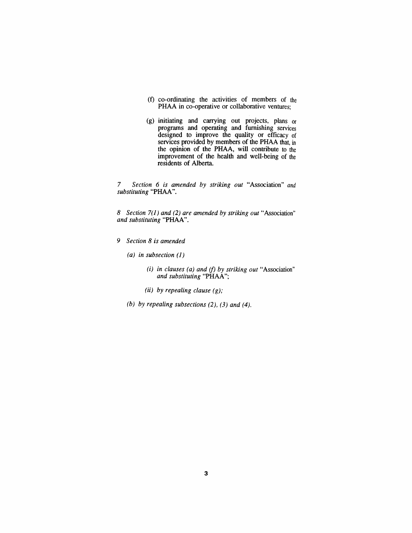- *(f) co-ordinating the activities of members of the PHAA in co-operative or collaborative ventures;*
- *(g) initiating and carrying out projects, plans or programs and operating and furnishing services designed to improve the quality or efficacy of services provided by members of the PHAA that, in the opinion of the PHAA, will contribute to the improvement of the health and well-being of the residents of Alberta.*

*7 Section 6 is amended by striking out "Association" and substituting "PHAA".*

*8 Section 7(1) and (2) are amended by striking out "Association" and substituting "PHAA".*

- *9 Section 8 is amended*
	- *(a) in subsection (1)*
		- *(i) in clauses (a) and (f) by striking out "Association" and substituting "PHAA";*
		- *(ii) by repealing clause (g);*
	- *(b) by repealing subsections (2), (3) and (4).*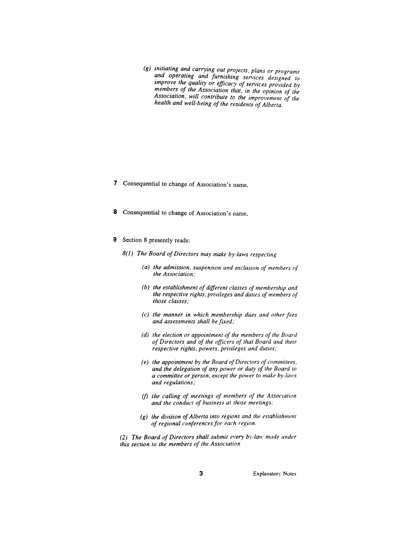*(g) initiating and carrying out projects, plans or programs and operating and furnishing services designed to improve the quality or efficacy of services provided by members of the Association that, in the opinion of the Association, will contribute to the improvement of the health and well-being of the residents ofAlberta.*

- *7 Consequential to change of Association's name.*
- *8 Consequential to change of Association's name.*
- *9 Section 8 presently reads:*
	- *8(1) The Board ofDirectors may make by-laws respecting*
		- *(a) the admission, suspension and exclusion of members of the Association;*
		- *(b) the establishment of different classes of membership and the respective rights, privileges and duties ofmembers of those classes;*
		- *(c) the manner in which membership dues and other fees and assessments shall be fixed;*
		- *(d) the election or appointment of the members of the Board of Directors and of the officers of that Board and their respective rights, powers, privileges and duties;*
		- *(e) the appointment by the Board ofDirectors of committees, and the delegation of any power or duty of the Board to a committee or person, except the power to make by-laws and regulations;*
		- *(f) the calling of meetings of members of the Association and the conduct of business at those meetings;*
		- *(g) the division ofAlberta into regions and the establishment of regional conferences for each region.*
	- *(2) The Board of Directors shall submit every by-law made under this section to the members of the Association*

*3 Explanatory Notes*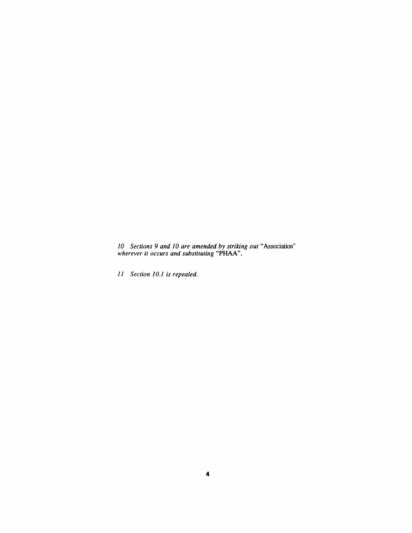*Sections 9 and 10 are amended by striking out "Association wherever it occurs and substituting "PHAA".*

*Section 10.1 is repealed.*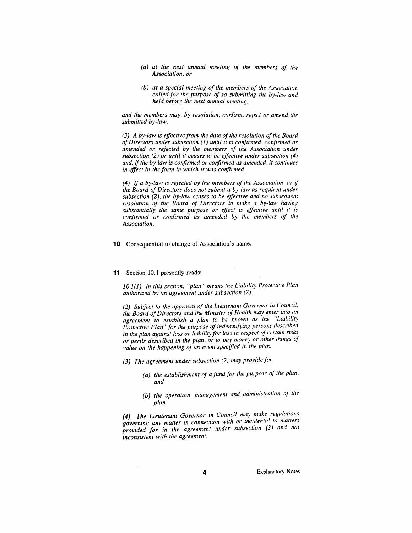- *(a) at the next annual meeting of the members of the Association, or*
- *(b) at a special meeting of the members of the Association called for the purpose of so submitting the by-law and held before the next annual meeting,*

*and the members may, by resolution, confirm, reject or amend the submitted by-law.*

*(3) A by-law is effectivefrom the date ofthe resolution of the Board ofDirectors under subsection (1) until it is confirmed, confirmed as amended or rejected by the members of the Association under subsection (2) or until it ceases to be effective under subsection (4) and, if the by-law is confirmed or confirmed as amended, it continues in effect in the form in which it was confirmed.*

*(4) If a by-law is rejected by the members of the Association, or if the Board of Directors does not submit a by-law as required under subsection (2), the by-law ceases to be effective and no subsequent resolution of the Board of Directors to make a by-law having substantially the same purpose or effect is effective until it is confirmed or confirmed as amended by the members of the Association.*

*10 Consequential to change of Association's name.*

#### *11 Section 10.1 presently reads:*

*10.1(1) In this section, "plan" means the Liability Protective Plan authorized by an agreement under subsection (2).*

*(2) Subject to the approval of the Lieutenant Governor in Council, the Board ofDirectors and the Minister of Health may enter into an agreement to establish a plan to be known as the Liability Protective Plan" for the purpose of indemnifying persons described in the plan against loss or liability for loss in respect of certain risks or perils described in the plan, or to pay money or other things of value on the happening of an event specified in the plan.*

- *(3) The agreement under subsection (2) may provide for*
	- *(a) the establishment of a fundfor the purpose of the plan, and*
	- *(b) the operation, management and administration of the plan.*

*(4) The Lieutenant Governor in Council may make regulations governing any matter in connection with or incidental to matters provided for in the agreement under subsection (2) and not inconsistent with the agreement.*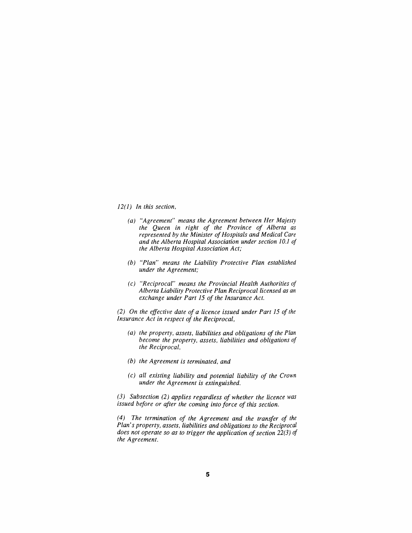### *12(1) In this section,*

- *(a) "Agreement" means the Agreement between Her Majesty the Queen in right of the Province of Alberta as represented by the Minister ofHospitals and Medical Care and the Alberta Hospital Association under section 10.1 of the Alberta Hospital Association Act;*
- *(b) "Plan" means the Liability Protective Plan established under the Agreement;*
- *(c) "Reciprocal" means the Provincial Health Authorities of Alberta Liability Protective Plan Reciprocal licensed as an exchange under Part 15 of the Insurance Act.*

*(2) On the effective date of a licence issued under Part 15 of the Insurance Act in respect of the Reciprocal,*

- *(a) the property, assets, liabilities and obligations of the Plan become the property, assets, liabilities and obligations of the Reciprocal,*
- *(b) the Agreement is terminated, and*
- *(c) all existing liability and potential liability of the Crown under the Agreement is extinguished.*

*(3) Subsection (2) applies regardless of whether the licence was issued before or after the coming into force of this section.*

*(4) The termination of the Agreement and the transfer of the Plan's property, assets, liabilities and obligations to the Reciprocal does not operate so as to trigger the application ofsection 22(3) of the Agreement.*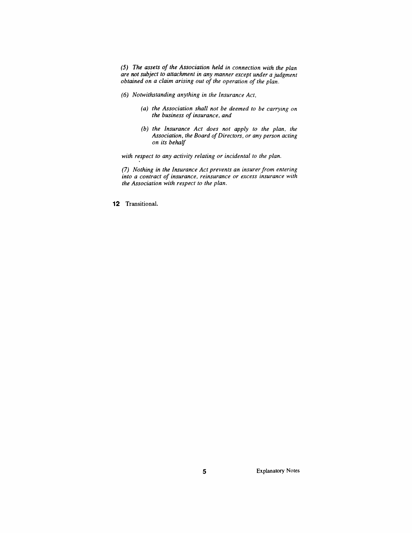*(5) The assets of the Association held in connection with the plan are not subject to attachment in any manner except under a judgment obtained on a claim arising out of the operation of the plan.*

- *(6) Notwithstanding anything in the Insurance Act,*
	- *(a) the Association shall not be deemed to be carrying on the business of insurance, and*
	- *(b) the Insurance Act does not apply to the plan, the Association, the Board ofDirectors, or any person acting on its behalf*

*with respect to any activity relating or incidental to the plan.*

*(7) Nothing in the Insurance Act prevents an insurer from entering into a contract of insurance, reinsurance or excess insurance with the Association with respect to the plan.*

*12 Transitional.*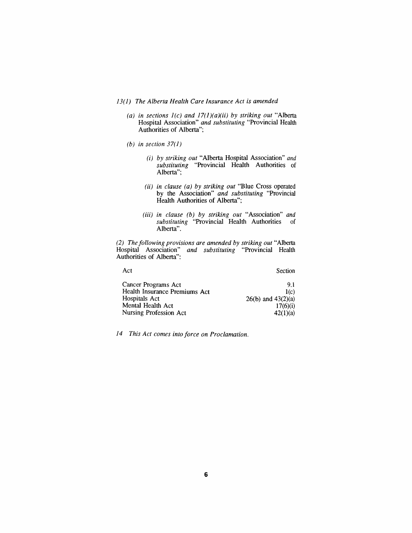- *13(1) The Alberta Health Care Insurance Act is amended*
	- *(a) in sections 1(c) and 17(1)(a)(ii) by striking out "Alberta Hospital Association" and substituting "Provincial Health Authorities of Alberta";*
	- *(b) in section 37(1)*
		- *(i) by striking out "Alberta Hospital Association" and substituting "Provincial Health Authorities of Alberta";*
		- *(ii) in clause (a) by striking out "Blue Cross operated by the Association" and substituting "Provincial Health Authorities of Alberta";*
		- *(iii) in clause (b) by striking out "Association" and substituting "Provincial Health Authorities of Alberta".*

*(2) The following provisions are amended by striking out "Alberta Hospital Association" and substituting "Provincial Health Authorities of Alberta":*

| Act | Section |
|-----|---------|
|     |         |

| Secti |
|-------|
|       |

| Cancer Programs Act           | 91                     |
|-------------------------------|------------------------|
| Health Insurance Premiums Act | 1(c)                   |
| Hospitals Act                 | $26(b)$ and $43(2)(a)$ |
| Mental Health Act             | 17(6)(i)               |
| Nursing Profession Act        | 42(1)(a)               |

*14 This Act comes into force on Proclamation.*